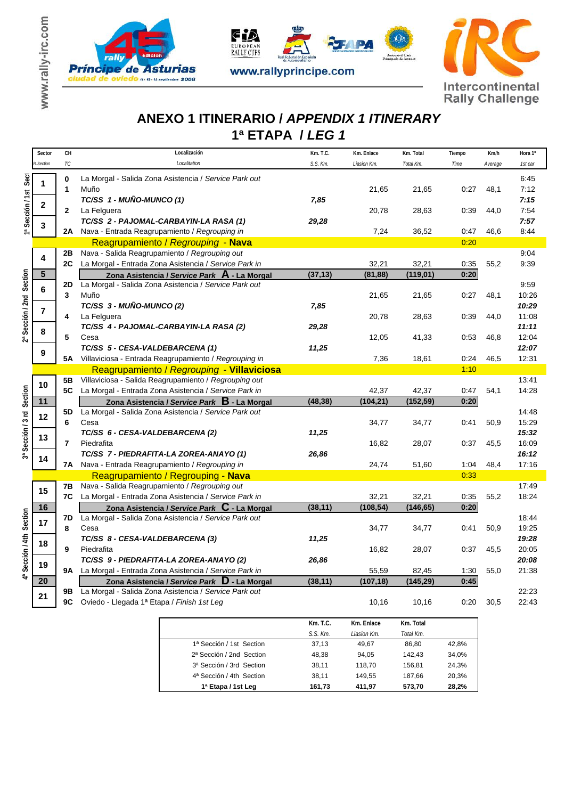







## **1ª ETAPA /** *LEG 1*  **ANEXO 1 ITINERARIO /** *APPENDIX 1 ITINERARY*

|                           | Sector           | CН           | Localización                                                                                          | Km. T.C. | Km. Enlace  | Km. Total | Tiempo | Km/h    | Hora 1°        |
|---------------------------|------------------|--------------|-------------------------------------------------------------------------------------------------------|----------|-------------|-----------|--------|---------|----------------|
|                           | <b>R.Section</b> | ТC           | Localitation                                                                                          | S.S. Km. | Liasion Km. | Total Km. | Time   | Average | 1st car        |
| Sect<br>1ª Sección / 1st  | 1                | 0            | La Morgal - Salida Zona Asistencia / Service Park out                                                 |          |             |           |        |         | 6:45           |
|                           |                  | 1            | Muño                                                                                                  |          | 21,65       | 21,65     | 0:27   | 48,1    | 7:12           |
|                           |                  |              | TC/SS 1 - MUÑO-MUNCO (1)                                                                              | 7,85     |             |           |        |         | 7:15           |
|                           | 2                | $\mathbf{2}$ | La Felguera                                                                                           |          | 20,78       | 28,63     | 0:39   | 44,0    | 7:54           |
|                           | 3                |              | TC/SS 2 - PAJOMAL-CARBAYIN-LA RASA (1)                                                                | 29,28    |             |           |        |         | 7:57           |
|                           |                  | 2A           | Nava - Entrada Reagrupamiento / Regrouping in                                                         |          | 7,24        | 36,52     | 0:47   | 46.6    | 8:44           |
|                           |                  |              | Reagrupamiento / Regrouping - Nava                                                                    |          |             |           | 0:20   |         |                |
|                           | 4                | 2В           | Nava - Salida Reagrupamiento / Regrouping out                                                         |          |             |           |        |         | 9:04           |
|                           |                  | 2C           | La Morgal - Entrada Zona Asistencia / Service Park in                                                 |          | 32,21       | 32,21     | 0:35   | 55,2    | 9:39           |
|                           | $5\phantom{1}$   |              | Zona Asistencia / Service Park A - La Morgal                                                          | (37, 13) | (81, 88)    | (119, 01) | 0:20   |         |                |
|                           | 6<br>7           | 2D           | La Morgal - Salida Zona Asistencia / Service Park out                                                 |          |             |           |        |         | 9:59           |
|                           |                  | 3            | Muño                                                                                                  |          | 21,65       | 21,65     | 0:27   | 48,1    | 10:26          |
|                           |                  |              | TC/SS 3 - MUÑO-MUNCO (2)                                                                              | 7,85     |             |           |        |         | 10:29          |
| 2ª Sección / 2nd Section  |                  | 4            | La Felguera                                                                                           |          | 20,78       | 28,63     | 0:39   | 44,0    | 11:08          |
|                           | 8                |              | TC/SS 4 - PAJOMAL-CARBAYIN-LA RASA (2)                                                                | 29,28    |             |           |        |         | 11:11          |
|                           |                  | 5            | Cesa                                                                                                  |          | 12,05       | 41,33     | 0:53   | 46,8    | 12:04          |
|                           | 9                |              | TC/SS 5 - CESA-VALDEBARCENA (1)                                                                       | 11,25    |             |           |        |         | 12:07          |
|                           |                  |              | 5A Villaviciosa - Entrada Reagrupamiento / Regrouping in                                              |          | 7,36        | 18,61     | 0:24   | 46,5    | 12:31          |
|                           |                  |              | Reagrupamiento / Regrouping - Villaviciosa                                                            |          |             |           | 1:10   |         |                |
|                           | 10               | 5В           | Villaviciosa - Salida Reagrupamiento / Regrouping out                                                 |          |             |           |        |         | 13:41          |
|                           |                  | 5C           | La Morgal - Entrada Zona Asistencia / Service Park in                                                 |          | 42,37       | 42,37     | 0:47   | 54,1    | 14:28          |
| 3ª Sección / 3 rd Section | 11               |              | Zona Asistencia / Service Park B - La Morgal                                                          | (48, 38) | (104, 21)   | (152, 59) | 0:20   |         |                |
|                           | 12               | 5D           | La Morgal - Salida Zona Asistencia / Service Park out                                                 |          |             |           |        |         | 14:48          |
|                           |                  | 6            | Cesa                                                                                                  |          | 34,77       | 34,77     | 0:41   | 50,9    | 15:29          |
|                           | 13<br>14         |              | TC/SS 6 - CESA-VALDEBARCENA (2)                                                                       | 11,25    |             |           |        |         | 15:32          |
|                           |                  | 7            | Piedrafita                                                                                            |          | 16,82       | 28,07     | 0:37   | 45,5    | 16:09          |
|                           |                  |              | TC/SS 7 - PIEDRAFITA-LA ZOREA-ANAYO (1)                                                               | 26,86    |             |           |        |         | 16:12          |
|                           |                  | 7Α           | Nava - Entrada Reagrupamiento / Regrouping in                                                         |          | 24,74       | 51,60     | 1:04   | 48,4    | 17:16          |
|                           |                  |              | Reagrupamiento / Regrouping - Nava                                                                    |          |             |           | 0:33   |         |                |
|                           | 15               | 7В           | Nava - Salida Reagrupamiento / Regrouping out                                                         |          |             |           |        |         | 17:49          |
|                           |                  | 7C           | La Morgal - Entrada Zona Asistencia / Service Park in                                                 |          | 32,21       | 32,21     | 0:35   | 55,2    | 18:24          |
|                           | 16               |              | Zona Asistencia / Service Park $\,$ C - La Morgal                                                     | (38, 11) | (108, 54)   | (146, 65) | 0:20   |         |                |
|                           | 17               | 7D           | La Morgal - Salida Zona Asistencia / Service Park out<br>Cesa                                         |          |             |           |        |         | 18:44          |
|                           |                  | 8            |                                                                                                       |          | 34,77       | 34,77     | 0:41   | 50,9    | 19:25          |
|                           | 18<br>19         | 9            | TC/SS 8 - CESA-VALDEBARCENA (3)<br>Piedrafita                                                         | 11,25    | 16,82       | 28,07     | 0:37   | 45,5    | 19:28<br>20:05 |
| 4ª Sección / 4th Section  |                  |              |                                                                                                       |          |             |           |        |         |                |
|                           |                  | 9Α           | TC/SS 9 - PIEDRAFITA-LA ZOREA-ANAYO (2)<br>La Morgal - Entrada Zona Asistencia / Service Park in      | 26,86    | 55,59       | 82,45     | 1:30   | 55,0    | 20:08<br>21:38 |
|                           | 20               |              |                                                                                                       | (38, 11) | (107, 18)   | (145, 29) | 0:45   |         |                |
|                           |                  | 9Β           | Zona Asistencia / Service Park D - La Morgal<br>La Morgal - Salida Zona Asistencia / Service Park out |          |             |           |        |         | 22:23          |
|                           | 21               | 9C           | Oviedo - Llegada 1ª Etapa / Finish 1st Leg                                                            |          | 10,16       | 10,16     | 0:20   | 30,5    | 22:43          |
|                           |                  |              |                                                                                                       |          |             |           |        |         |                |

|                          | $Km$ . T.C.   | Km. Enlace   | Km. Total |       |
|--------------------------|---------------|--------------|-----------|-------|
|                          | $S.S.$ $Km$ . | I iasion Km. | Total Km. |       |
| 1ª Sección / 1st Section | 37.13         | 49,67        | 86,80     | 42.8% |
| 2ª Sección / 2nd Section | 48.38         | 94.05        | 142.43    | 34,0% |
| 3ª Sección / 3rd Section | 38.11         | 118.70       | 156.81    | 24.3% |
| 4ª Sección / 4th Section | 38.11         | 149.55       | 187.66    | 20.3% |
| 1ª Etapa / 1st Leg       | 161.73        | 411.97       | 573.70    | 28.2% |